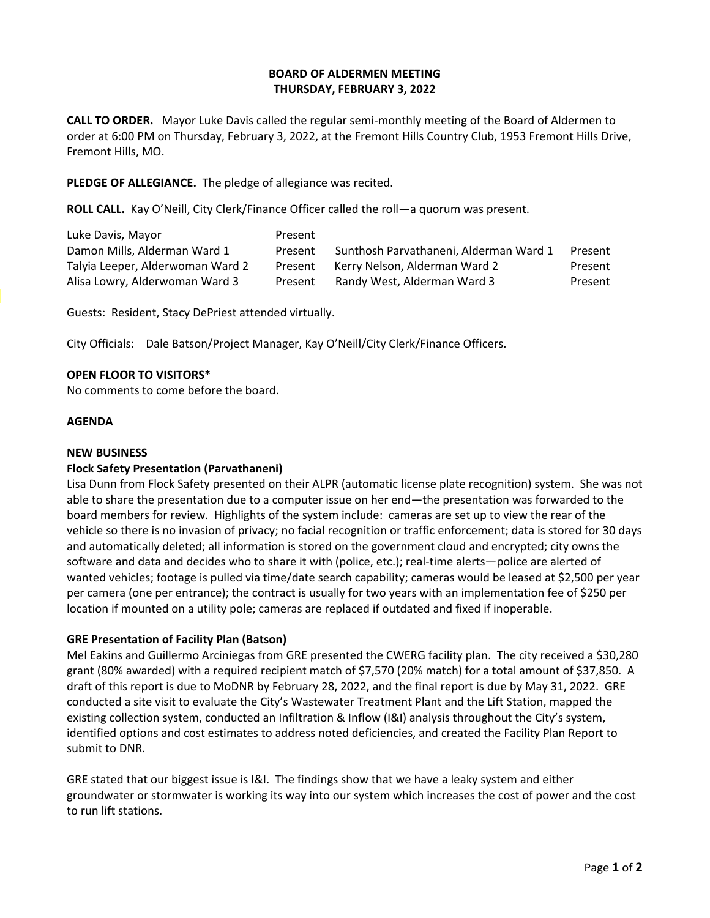# **BOARD OF ALDERMEN MEETING THURSDAY, FEBRUARY 3, 2022**

**CALL TO ORDER.** Mayor Luke Davis called the regular semi-monthly meeting of the Board of Aldermen to order at 6:00 PM on Thursday, February 3, 2022, at the Fremont Hills Country Club, 1953 Fremont Hills Drive, Fremont Hills, MO.

**PLEDGE OF ALLEGIANCE.** The pledge of allegiance was recited.

**ROLL CALL.** Kay O'Neill, City Clerk/Finance Officer called the roll—a quorum was present.

| Luke Davis, Mayor                | Present |                                        |         |
|----------------------------------|---------|----------------------------------------|---------|
| Damon Mills, Alderman Ward 1     | Present | Sunthosh Parvathaneni, Alderman Ward 1 | Present |
| Talyia Leeper, Alderwoman Ward 2 | Present | Kerry Nelson, Alderman Ward 2          | Present |
| Alisa Lowry, Alderwoman Ward 3   | Present | Randy West, Alderman Ward 3            | Present |

Guests: Resident, Stacy DePriest attended virtually.

City Officials: Dale Batson/Project Manager, Kay O'Neill/City Clerk/Finance Officers.

#### **OPEN FLOOR TO VISITORS\***

No comments to come before the board.

#### **AGENDA**

#### **NEW BUSINESS**

# **Flock Safety Presentation (Parvathaneni)**

Lisa Dunn from Flock Safety presented on their ALPR (automatic license plate recognition) system. She was not able to share the presentation due to a computer issue on her end—the presentation was forwarded to the board members for review. Highlights of the system include: cameras are set up to view the rear of the vehicle so there is no invasion of privacy; no facial recognition or traffic enforcement; data is stored for 30 days and automatically deleted; all information is stored on the government cloud and encrypted; city owns the software and data and decides who to share it with (police, etc.); real-time alerts—police are alerted of wanted vehicles; footage is pulled via time/date search capability; cameras would be leased at \$2,500 per year per camera (one per entrance); the contract is usually for two years with an implementation fee of \$250 per location if mounted on a utility pole; cameras are replaced if outdated and fixed if inoperable.

# **GRE Presentation of Facility Plan (Batson)**

Mel Eakins and Guillermo Arciniegas from GRE presented the CWERG facility plan. The city received a \$30,280 grant (80% awarded) with a required recipient match of \$7,570 (20% match) for a total amount of \$37,850. A draft of this report is due to MoDNR by February 28, 2022, and the final report is due by May 31, 2022. GRE conducted a site visit to evaluate the City's Wastewater Treatment Plant and the Lift Station, mapped the existing collection system, conducted an Infiltration & Inflow (I&I) analysis throughout the City's system, identified options and cost estimates to address noted deficiencies, and created the Facility Plan Report to submit to DNR.

GRE stated that our biggest issue is I&I. The findings show that we have a leaky system and either groundwater or stormwater is working its way into our system which increases the cost of power and the cost to run lift stations.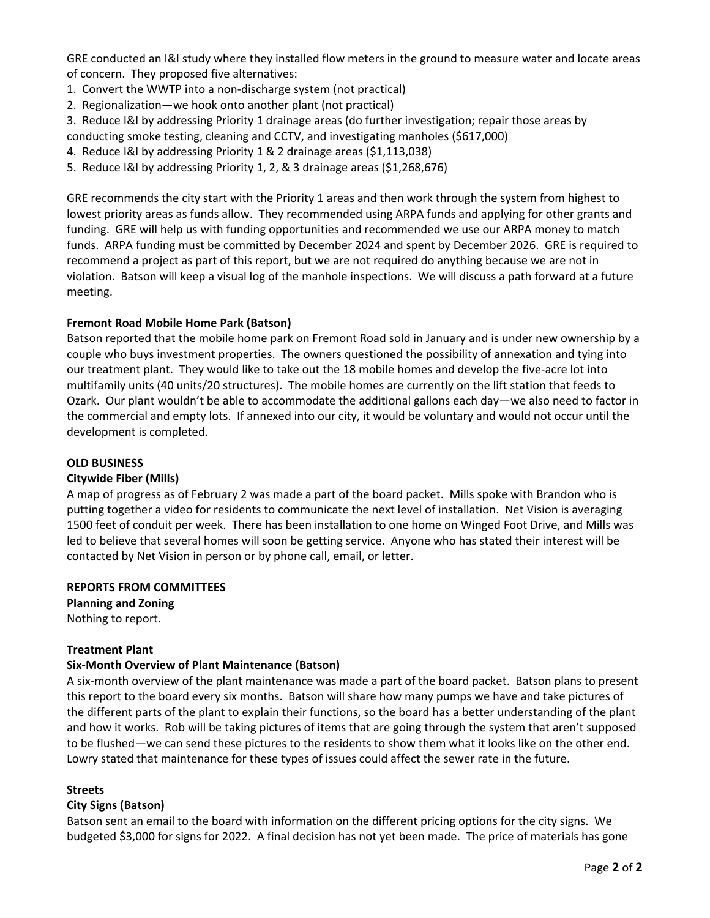GRE conducted an I&I study where they installed flow meters in the ground to measure water and locate areas of concern. They proposed five alternatives:

- 1. Convert the WWTP into a non-discharge system (not practical)
- 2. Regionalization—we hook onto another plant (not practical)
- 3. Reduce I&I by addressing Priority 1 drainage areas (do further investigation; repair those areas by conducting smoke testing, cleaning and CCTV, and investigating manholes (\$617,000)
- 4. Reduce I&I by addressing Priority 1 & 2 drainage areas (\$1,113,038)
- 5. Reduce I&I by addressing Priority 1, 2, & 3 drainage areas (\$1,268,676)

GRE recommends the city start with the Priority 1 areas and then work through the system from highest to lowest priority areas as funds allow. They recommended using ARPA funds and applying for other grants and funding. GRE will help us with funding opportunities and recommended we use our ARPA money to match funds. ARPA funding must be committed by December 2024 and spent by December 2026. GRE is required to recommend a project as part of this report, but we are not required do anything because we are not in violation. Batson will keep a visual log of the manhole inspections. We will discuss a path forward at a future meeting.

# **Fremont Road Mobile Home Park (Batson)**

Batson reported that the mobile home park on Fremont Road sold in January and is under new ownership by a couple who buys investment properties. The owners questioned the possibility of annexation and tying into our treatment plant. They would like to take out the 18 mobile homes and develop the five-acre lot into multifamily units (40 units/20 structures). The mobile homes are currently on the lift station that feeds to Ozark. Our plant wouldn't be able to accommodate the additional gallons each day—we also need to factor in the commercial and empty lots. If annexed into our city, it would be voluntary and would not occur until the development is completed.

#### **OLD BUSINESS**

# **Citywide Fiber (Mills)**

A map of progress as of February 2 was made a part of the board packet. Mills spoke with Brandon who is putting together a video for residents to communicate the next level of installation. Net Vision is averaging 1500 feet of conduit per week. There has been installation to one home on Winged Foot Drive, and Mills was led to believe that several homes will soon be getting service. Anyone who has stated their interest will be contacted by Net Vision in person or by phone call, email, or letter.

# **REPORTS FROM COMMITTEES**

**Planning and Zoning** Nothing to report.

# **Treatment Plant**

# **Six-Month Overview of Plant Maintenance (Batson)**

A six-month overview of the plant maintenance was made a part of the board packet. Batson plans to present this report to the board every six months. Batson will share how many pumps we have and take pictures of the different parts of the plant to explain their functions, so the board has a better understanding of the plant and how it works. Rob will be taking pictures of items that are going through the system that aren't supposed to be flushed—we can send these pictures to the residents to show them what it looks like on the other end. Lowry stated that maintenance for these types of issues could affect the sewer rate in the future.

# **Streets**

# **City Signs (Batson)**

Batson sent an email to the board with information on the different pricing options for the city signs. We budgeted \$3,000 for signs for 2022. A final decision has not yet been made. The price of materials has gone